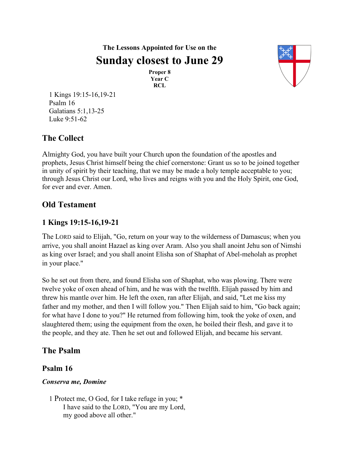**The Lessons Appointed for Use on the Sunday closest to June 29**

> **Proper 8 Year C RCL**



1 Kings 19:15-16,19-21 Psalm 16 Galatians 5:1,13-25 Luke 9:51-62

# **The Collect**

Almighty God, you have built your Church upon the foundation of the apostles and prophets, Jesus Christ himself being the chief cornerstone: Grant us so to be joined together in unity of spirit by their teaching, that we may be made a holy temple acceptable to you; through Jesus Christ our Lord, who lives and reigns with you and the Holy Spirit, one God, for ever and ever. Amen.

## **Old Testament**

### **1 Kings 19:15-16,19-21**

The LORD said to Elijah, "Go, return on your way to the wilderness of Damascus; when you arrive, you shall anoint Hazael as king over Aram. Also you shall anoint Jehu son of Nimshi as king over Israel; and you shall anoint Elisha son of Shaphat of Abel-meholah as prophet in your place."

So he set out from there, and found Elisha son of Shaphat, who was plowing. There were twelve yoke of oxen ahead of him, and he was with the twelfth. Elijah passed by him and threw his mantle over him. He left the oxen, ran after Elijah, and said, "Let me kiss my father and my mother, and then I will follow you." Then Elijah said to him, "Go back again; for what have I done to you?" He returned from following him, took the yoke of oxen, and slaughtered them; using the equipment from the oxen, he boiled their flesh, and gave it to the people, and they ate. Then he set out and followed Elijah, and became his servant.

## **The Psalm**

#### **Psalm 16**

#### *Conserva me, Domine*

1 Protect me, O God, for I take refuge in you; \* I have said to the LORD, "You are my Lord, my good above all other."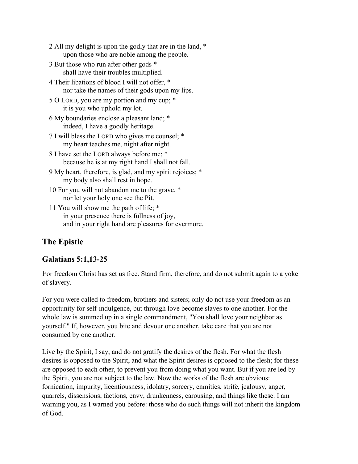| 2 All my delight is upon the godly that are in the land, * |  |
|------------------------------------------------------------|--|
| upon those who are noble among the people.                 |  |

- 3 But those who run after other gods \* shall have their troubles multiplied.
- 4 Their libations of blood I will not offer, \* nor take the names of their gods upon my lips.
- 5 O LORD, you are my portion and my cup; \* it is you who uphold my lot.
- 6 My boundaries enclose a pleasant land; \* indeed, I have a goodly heritage.
- 7 I will bless the LORD who gives me counsel; \* my heart teaches me, night after night.
- 8 I have set the LORD always before me; \* because he is at my right hand I shall not fall.
- 9 My heart, therefore, is glad, and my spirit rejoices; \* my body also shall rest in hope.
- 10 For you will not abandon me to the grave, \* nor let your holy one see the Pit.
- 11 You will show me the path of life; \* in your presence there is fullness of joy, and in your right hand are pleasures for evermore.

# **The Epistle**

### **Galatians 5:1,13-25**

For freedom Christ has set us free. Stand firm, therefore, and do not submit again to a yoke of slavery.

For you were called to freedom, brothers and sisters; only do not use your freedom as an opportunity for self-indulgence, but through love become slaves to one another. For the whole law is summed up in a single commandment, "You shall love your neighbor as yourself." If, however, you bite and devour one another, take care that you are not consumed by one another.

Live by the Spirit, I say, and do not gratify the desires of the flesh. For what the flesh desires is opposed to the Spirit, and what the Spirit desires is opposed to the flesh; for these are opposed to each other, to prevent you from doing what you want. But if you are led by the Spirit, you are not subject to the law. Now the works of the flesh are obvious: fornication, impurity, licentiousness, idolatry, sorcery, enmities, strife, jealousy, anger, quarrels, dissensions, factions, envy, drunkenness, carousing, and things like these. I am warning you, as I warned you before: those who do such things will not inherit the kingdom of God.